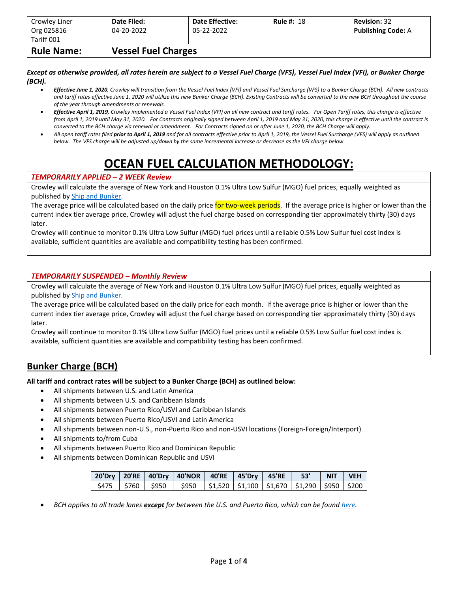| Crowley Liner<br>Org 025816 | Date Filed:<br>04-20-2022  | <b>Date Effective:</b><br>05-22-2022 | <b>Rule #: 18</b> | <b>Revision: 32</b><br><b>Publishing Code: A</b> |
|-----------------------------|----------------------------|--------------------------------------|-------------------|--------------------------------------------------|
| Tariff 001                  |                            |                                      |                   |                                                  |
| <b>Rule Name:</b>           | <b>Vessel Fuel Charges</b> |                                      |                   |                                                  |

*Except as otherwise provided, all rates herein are subject to a Vessel Fuel Charge (VFS), Vessel Fuel Index (VFI), or Bunker Charge (BCH).*

- *Effective June 1, 2020, Crowley will transition from the Vessel Fuel Index (VFI) and Vessel Fuel Surcharge (VFS) to a Bunker Charge (BCH). All new contracts and tariff rates effective June 1, 2020 will utilize this new Bunker Charge (BCH). Existing Contracts will be converted to the new BCH throughout the course of the year through amendments or renewals.*
- *Effective April 1, 2019, Crowley implemented a Vessel Fuel Index (VFI) on all new contract and tariff rates. For Open Tariff rates, this charge is effective from April 1, 2019 until May 31, 2020. For Contracts originally signed between April 1, 2019 and May 31, 2020, this charge is effective until the contract is converted to the BCH charge via renewal or amendment. For Contracts signed on or after June 1, 2020, the BCH Charge will apply.*
- *All open tariff rates filed prior to April 1, 2019 and for all contracts effective prior to April 1, 2019, the Vessel Fuel Surcharge (VFS) will apply as outlined below. The VFS charge will be adjusted up/down by the same incremental increase or decrease as the VFI charge below.*

# **OCEAN FUEL CALCULATION METHODOLOGY:**

#### *TEMPORARILY APPLIED – 2 WEEK Review*

Crowley will calculate the average of New York and Houston 0.1% Ultra Low Sulfur (MGO) fuel prices, equally weighted as published b[y Ship and Bunker.](https://shipandbunker.com/)

The average price will be calculated based on the daily price for two-week periods. If the average price is higher or lower than the current index tier average price, Crowley will adjust the fuel charge based on corresponding tier approximately thirty (30) days later.

Crowley will continue to monitor 0.1% Ultra Low Sulfur (MGO) fuel prices until a reliable 0.5% Low Sulfur fuel cost index is available, sufficient quantities are available and compatibility testing has been confirmed.

#### *TEMPORARILY SUSPENDED – Monthly Review*

Crowley will calculate the average of New York and Houston 0.1% Ultra Low Sulfur (MGO) fuel prices, equally weighted as published b[y Ship and Bunker.](https://shipandbunker.com/)

The average price will be calculated based on the daily price for each month. If the average price is higher or lower than the current index tier average price, Crowley will adjust the fuel charge based on corresponding tier approximately thirty (30) days later.

Crowley will continue to monitor 0.1% Ultra Low Sulfur (MGO) fuel prices until a reliable 0.5% Low Sulfur fuel cost index is available, sufficient quantities are available and compatibility testing has been confirmed.

### **Bunker Charge (BCH)**

**All tariff and contract rates will be subject to a Bunker Charge (BCH) as outlined below:**

- All shipments between U.S. and Latin America
- All shipments between U.S. and Caribbean Islands
- All shipments between Puerto Rico/USVI and Caribbean Islands
- All shipments between Puerto Rico/USVI and Latin America
- All shipments between non-U.S., non-Puerto Rico and non-USVI locations (Foreign-Foreign/Interport)
- All shipments to/from Cuba
- All shipments between Puerto Rico and Dominican Republic
- All shipments between Dominican Republic and USVI

|  | 20'Dry   20'RE   40'Dry   40'NOR   40'RE   45'Dry   45'RE   53'   NIT   VEH                         |  |  |  |  |
|--|-----------------------------------------------------------------------------------------------------|--|--|--|--|
|  | $\frac{1}{2}$ \$475   \$760   \$950   \$950   \$1,520   \$1,100   \$1,670   \$1,290   \$950   \$200 |  |  |  |  |

• *BCH applies to all trade lanes except for between the U.S. and Puerto Rico, which can be foun[d here.](https://www.crowley.com/logistics/resources/rates-tariffs/stb/#18-1-vessel-fuel-surcharge-between-the-continental-us-and-puerto-rico)*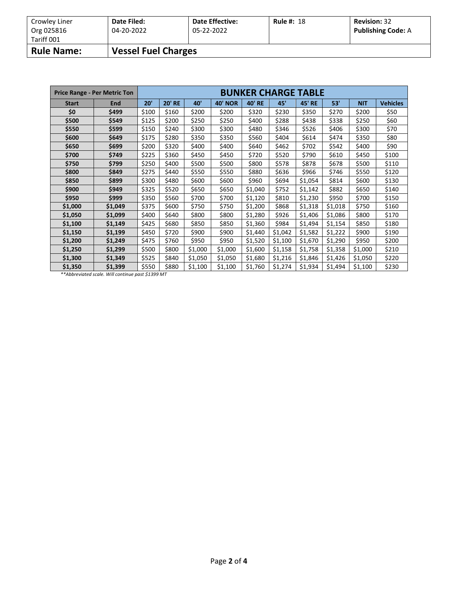| Crowley Liner<br>Org 025816 | Date Filed:<br>04-20-2022  | <b>Date Effective:</b><br>05-22-2022 | <b>Rule #: 18</b> | <b>Revision: 32</b><br><b>Publishing Code: A</b> |
|-----------------------------|----------------------------|--------------------------------------|-------------------|--------------------------------------------------|
| Tariff 001                  |                            |                                      |                   |                                                  |
| <b>Rule Name:</b>           | <b>Vessel Fuel Charges</b> |                                      |                   |                                                  |

|              | <b>Price Range - Per Metric Ton</b> | <b>BUNKER CHARGE TABLE</b> |               |                 |                |               |                |               |         |            |                 |  |
|--------------|-------------------------------------|----------------------------|---------------|-----------------|----------------|---------------|----------------|---------------|---------|------------|-----------------|--|
| <b>Start</b> | End                                 | 20'                        | <b>20' RE</b> | 40 <sup>'</sup> | <b>40' NOR</b> | <b>40' RE</b> | 45'            | <b>45' RE</b> | 53'     | <b>NIT</b> | <b>Vehicles</b> |  |
| \$0          | \$499                               | \$100                      | \$160         | \$200           | \$200          | \$320         | \$230          | \$350         | \$270   | \$200      | \$50            |  |
| \$500        | \$549                               | \$125                      | \$200         | \$250           | \$250          | \$400         | \$288          | \$438         | \$338   | \$250      | \$60            |  |
| \$550        | \$599                               | \$150                      | \$240         | \$300           | \$300          | \$480         | \$346<br>\$526 |               | \$406   | \$300      | \$70            |  |
| \$600        | \$649                               | \$175                      | \$280         | \$350           | \$350          | \$560         | \$404          | \$614         | \$474   | \$350      | \$80            |  |
| \$650        | \$699                               | \$200                      | \$320         | \$400           | \$400          | \$640         | \$462          | \$702         | \$542   | \$400      | \$90            |  |
| \$700        | \$749                               | \$225                      | \$360         | \$450           | \$450          | \$720         | \$520          | \$790         | \$610   | \$450      | \$100           |  |
| \$750        | \$799                               | \$250                      | \$400         | \$500           | \$500          | \$800         | \$578          | \$878         | \$678   | \$500      | \$110           |  |
| \$800        | \$849                               | \$275                      | \$440         | \$550           | \$550          | \$880         | \$636          | \$966         | \$746   | \$550      | \$120           |  |
| \$850        | \$899                               | \$300                      | \$480         | \$600           | \$600          | \$960         | \$694          | \$1,054       | \$814   | \$600      | \$130           |  |
| \$900        | \$949                               | \$325                      | \$520         | \$650           | \$650          | \$1,040       | \$752          | \$1,142       | \$882   | \$650      | \$140           |  |
| \$950        | \$999                               | \$350                      | \$560         | \$700           | \$700          | \$1,120       | \$810          | \$1,230       | \$950   | \$700      | \$150           |  |
| \$1,000      | \$1,049                             | \$375                      | \$600         | \$750           | \$750          | \$1,200       | \$868          | \$1,318       | \$1,018 | \$750      | \$160           |  |
| \$1,050      | \$1,099                             | \$400                      | \$640         | \$800           | \$800          | \$1,280       | \$926          | \$1,406       | \$1,086 | \$800      | \$170           |  |
| \$1,100      | \$1,149                             | \$425                      | \$680         | \$850           | \$850          | \$1,360       | \$984          | \$1,494       | \$1,154 | \$850      | \$180           |  |
| \$1,150      | \$1,199                             | \$450                      | \$720         | \$900           | \$900          | \$1,440       | \$1,042        | \$1,582       | \$1,222 | \$900      | \$190           |  |
| \$1,200      | \$1,249                             | \$475                      | \$760         | \$950           | \$950          | \$1,520       | \$1,100        | \$1,670       | \$1,290 | \$950      | \$200           |  |
| \$1,250      | \$1,299                             | \$500                      | \$800         | \$1,000         | \$1,000        | \$1,600       | \$1,158        | \$1,758       | \$1,358 | \$1,000    | \$210           |  |
| \$1,300      | \$1,349                             | \$525                      | \$840         | \$1,050         | \$1,050        | \$1,680       | \$1,216        | \$1,846       | \$1,426 | \$1,050    | \$220           |  |
| \$1,350      | \$1,399                             | \$550                      | \$880         | \$1,100         | \$1,100        | \$1,760       | \$1,274        | \$1,934       | \$1,494 | \$1,100    | \$230           |  |

*\*\*Abbreviated scale. Will continue past \$1399 MT*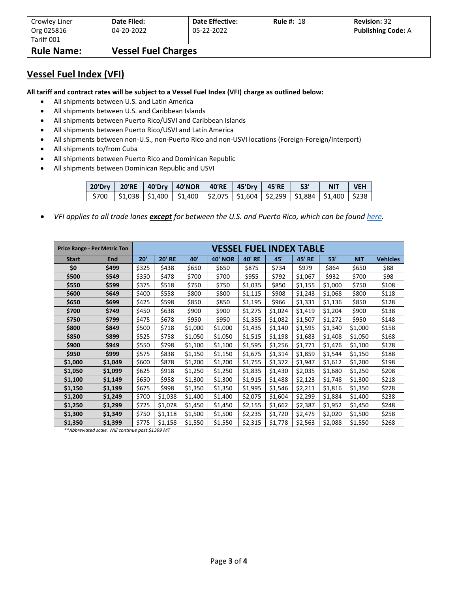| Crowley Liner            | Date Filed:                | <b>Date Effective:</b> | <b>Rule #: 18</b> | <b>Revision: 32</b>       |
|--------------------------|----------------------------|------------------------|-------------------|---------------------------|
| Org 025816<br>Tariff 001 | 04-20-2022                 | 05-22-2022             |                   | <b>Publishing Code: A</b> |
| <b>Rule Name:</b>        | <b>Vessel Fuel Charges</b> |                        |                   |                           |

### **Vessel Fuel Index (VFI)**

**All tariff and contract rates will be subject to a Vessel Fuel Index (VFI) charge as outlined below:**

- All shipments between U.S. and Latin America
- All shipments between U.S. and Caribbean Islands
- All shipments between Puerto Rico/USVI and Caribbean Islands
- All shipments between Puerto Rico/USVI and Latin America
- All shipments between non-U.S., non-Puerto Rico and non-USVI locations (Foreign-Foreign/Interport)
- All shipments to/from Cuba
- All shipments between Puerto Rico and Dominican Republic
- All shipments between Dominican Republic and USVI

|  | 20'Dry   20'RE   40'Dry   40'NOR   40'RE   45'Dry   45'RE     53'       NIT     VEH <sub> </sub>                                                                                         |  |  |  |
|--|------------------------------------------------------------------------------------------------------------------------------------------------------------------------------------------|--|--|--|
|  | $\frac{1}{2}$ 5700 $\frac{1}{2}$ 51,038 $\frac{1}{2}$ 51,400 $\frac{1}{2}$ 51,400 $\frac{1}{2}$ 51,604 $\frac{1}{2}$ 52,299 $\frac{1}{2}$ 51,884 $\frac{1}{2}$ 51,400 $\frac{1}{2}$ 5238 |  |  |  |

• *VFI applies to all trade lanes except for between the U.S. and Puerto Rico, which can be foun[d here.](https://www.crowley.com/logistics/resources/rates-tariffs/stb/#18-1-vessel-fuel-surcharge-between-the-continental-us-and-puerto-rico)*

|              | <b>Price Range - Per Metric Ton</b> | VESSEL FUEL INDEX TABLE |               |         |                |               |         |               |         |            |                 |
|--------------|-------------------------------------|-------------------------|---------------|---------|----------------|---------------|---------|---------------|---------|------------|-----------------|
| <b>Start</b> | End                                 | 20'                     | <b>20' RE</b> | 40'     | <b>40' NOR</b> | <b>40' RE</b> | 45'     | <b>45' RE</b> | 53'     | <b>NIT</b> | <b>Vehicles</b> |
| \$0          | \$499                               | \$325                   | \$438         | \$650   | \$650          | \$875         | \$734   | \$979         | \$864   | \$650      | \$88            |
| \$500        | \$549                               | \$350                   | \$478         | \$700   | \$700          | \$955         | \$792   | \$1,067       | \$932   | \$700      | \$98            |
| \$550        | \$599                               | \$375                   | \$518         | \$750   | \$750          | \$1,035       | \$850   | \$1,155       | \$1,000 | \$750      | \$108           |
| \$600        | \$649                               | \$400                   | \$558         | \$800   | \$800          | \$1,115       | \$908   | \$1,243       | \$1,068 | \$800      | \$118           |
| \$650        | \$699                               | \$425                   | \$598         | \$850   | \$850          | \$1,195       | \$966   | \$1,331       | \$1,136 | \$850      | \$128           |
| \$700        | \$749                               | \$450                   | \$638         | \$900   | \$900          | \$1,275       | \$1,024 | \$1,419       | \$1,204 | \$900      | \$138           |
| \$750        | \$799                               | \$475                   | \$678         | \$950   | \$950          | \$1,355       | \$1,082 | \$1,507       | \$1,272 | \$950      | \$148           |
| \$800        | \$849                               | \$500                   | \$718         | \$1,000 | \$1,000        | \$1,435       | \$1,140 | \$1,595       | \$1,340 | \$1,000    | \$158           |
| \$850        | \$899                               | \$525                   | \$758         | \$1,050 | \$1,050        | \$1,515       | \$1,198 | \$1,683       | \$1,408 | \$1,050    | \$168           |
| \$900        | \$949                               | \$550                   | \$798         | \$1,100 | \$1,100        | \$1,595       | \$1,256 | \$1,771       | \$1,476 | \$1,100    | \$178           |
| \$950        | \$999                               | \$575                   | \$838         | \$1,150 | \$1,150        | \$1,675       | \$1,314 | \$1,859       | \$1,544 | \$1,150    | \$188           |
| \$1,000      | \$1,049                             | \$600                   | \$878         | \$1,200 | \$1,200        | \$1,755       | \$1,372 | \$1,947       | \$1,612 | \$1,200    | \$198           |
| \$1,050      | \$1,099                             | \$625                   | \$918         | \$1,250 | \$1,250        | \$1,835       | \$1,430 | \$2,035       | \$1,680 | \$1,250    | \$208           |
| \$1,100      | \$1,149                             | \$650                   | \$958         | \$1,300 | \$1,300        | \$1,915       | \$1,488 | \$2,123       | \$1,748 | \$1,300    | \$218           |
| \$1,150      | \$1,199                             | \$675                   | \$998         | \$1,350 | \$1,350        | \$1,995       | \$1,546 | \$2,211       | \$1,816 | \$1,350    | \$228           |
| \$1,200      | \$1,249                             | \$700                   | \$1,038       | \$1,400 | \$1,400        | \$2,075       | \$1,604 | \$2,299       | \$1,884 | \$1,400    | \$238           |
| \$1,250      | \$1,299                             | \$725                   | \$1,078       | \$1,450 | \$1,450        | \$2,155       | \$1,662 | \$2,387       | \$1,952 | \$1,450    | \$248           |
| \$1,300      | \$1,349                             | \$750                   | \$1,118       | \$1,500 | \$1,500        | \$2,235       | \$1,720 | \$2,475       | \$2,020 | \$1,500    | \$258           |
| \$1,350      | \$1,399                             | \$775                   | \$1,158       | \$1,550 | \$1,550        | \$2,315       | \$1,778 | \$2,563       | \$2,088 | \$1,550    | \$268           |

*\*\*Abbreviated scale. Will continue past \$1399 MT*